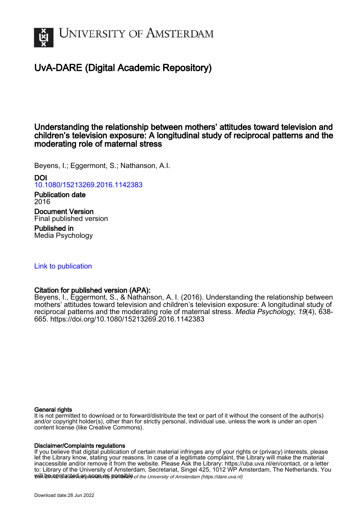

# UvA-DARE (Digital Academic Repository)

# Understanding the relationship between mothers' attitudes toward television and children's television exposure: A longitudinal study of reciprocal patterns and the moderating role of maternal stress

Beyens, I.; Eggermont, S.; Nathanson, A.I.

DOI [10.1080/15213269.2016.1142383](https://doi.org/10.1080/15213269.2016.1142383) Publication date

2016 Document Version Final published version Published in

Media Psychology

# [Link to publication](https://dare.uva.nl/personal/pure/en/publications/understanding-the-relationship-between-mothers-attitudes-toward-television-and-childrens-television-exposure-a-longitudinal-study-of-reciprocal-patterns-and-the-moderating-role-of-maternal-stress(0a5e55e9-6779-4bae-8dc1-c373dfae05ef).html)

## Citation for published version (APA):

Beyens, I., Eggermont, S., & Nathanson, A. I. (2016). Understanding the relationship between mothers' attitudes toward television and children's television exposure: A longitudinal study of reciprocal patterns and the moderating role of maternal stress. Media Psychology, 19(4), 638- 665. <https://doi.org/10.1080/15213269.2016.1142383>

## General rights

It is not permitted to download or to forward/distribute the text or part of it without the consent of the author(s) and/or copyright holder(s), other than for strictly personal, individual use, unless the work is under an open content license (like Creative Commons).

## Disclaimer/Complaints regulations

will be contacted as sontacty pessible of the University of Amsterdam (https://dare.uva.nl) If you believe that digital publication of certain material infringes any of your rights or (privacy) interests, please let the Library know, stating your reasons. In case of a legitimate complaint, the Library will make the material inaccessible and/or remove it from the website. Please Ask the Library: https://uba.uva.nl/en/contact, or a letter to: Library of the University of Amsterdam, Secretariat, Singel 425, 1012 WP Amsterdam, The Netherlands. You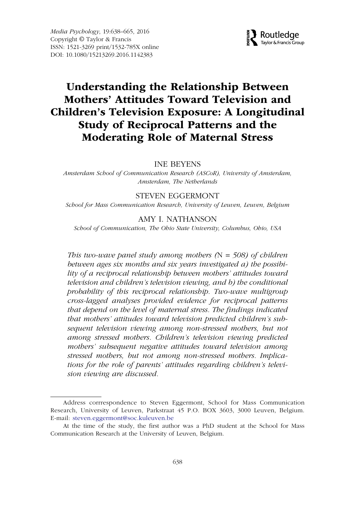

# Understanding the Relationship Between Mothers' Attitudes Toward Television and Children's Television Exposure: A Longitudinal Study of Reciprocal Patterns and the Moderating Role of Maternal Stress

INE BEYENS

Amsterdam School of Communication Research (ASCoR), University of Amsterdam, Amsterdam, The Netherlands

### STEVEN EGGERMONT

School for Mass Communication Research, University of Leuven, Leuven, Belgium

#### AMY I. NATHANSON

School of Communication, The Ohio State University, Columbus, Ohio, USA

This two-wave panel study among mothers  $(N = 508)$  of children between ages six months and six years investigated a) the possibility of a reciprocal relationship between mothers' attitudes toward television and children's television viewing, and b) the conditional probability of this reciprocal relationship. Two-wave multigroup cross-lagged analyses provided evidence for reciprocal patterns that depend on the level of maternal stress. The findings indicated that mothers' attitudes toward television predicted children's subsequent television viewing among non-stressed mothers, but not among stressed mothers. Children's television viewing predicted mothers' subsequent negative attitudes toward television among stressed mothers, but not among non-stressed mothers. Implications for the role of parents' attitudes regarding children's television viewing are discussed.

Address corrrespondence to Steven Eggermont, School for Mass Communication Research, University of Leuven, Parkstraat 45 P.O. BOX 3603, 3000 Leuven, Belgium. E-mail: steven.eggermont@soc.kuleuven.be

At the time of the study, the first author was a PhD student at the School for Mass Communication Research at the University of Leuven, Belgium.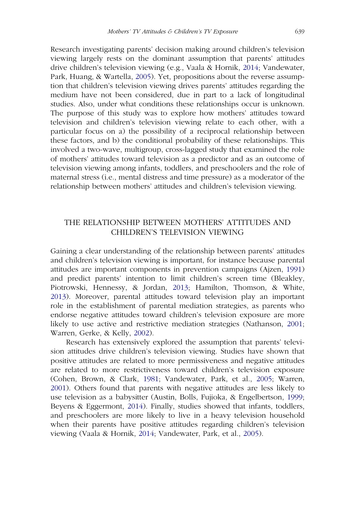Research investigating parents' decision making around children's television viewing largely rests on the dominant assumption that parents' attitudes drive children's television viewing (e.g., Vaala & Hornik, [2014;](#page-27-0) Vandewater, Park, Huang, & Wartella, [2005](#page-28-0)). Yet, propositions about the reverse assumption that children's television viewing drives parents' attitudes regarding the medium have not been considered, due in part to a lack of longitudinal studies. Also, under what conditions these relationships occur is unknown. The purpose of this study was to explore how mothers' attitudes toward television and children's television viewing relate to each other, with a particular focus on a) the possibility of a reciprocal relationship between these factors, and b) the conditional probability of these relationships. This involved a two-wave, multigroup, cross-lagged study that examined the role of mothers' attitudes toward television as a predictor and as an outcome of television viewing among infants, toddlers, and preschoolers and the role of maternal stress (i.e., mental distress and time pressure) as a moderator of the relationship between mothers' attitudes and children's television viewing.

## THE RELATIONSHIP BETWEEN MOTHERS' ATTITUDES AND CHILDREN'S TELEVISION VIEWING

Gaining a clear understanding of the relationship between parents' attitudes and children's television viewing is important, for instance because parental attitudes are important components in prevention campaigns (Ajzen, [1991](#page-23-0)) and predict parents' intention to limit children's screen time (Bleakley, Piotrowski, Hennessy, & Jordan, [2013](#page-24-0); Hamilton, Thomson, & White, [2013\)](#page-25-0). Moreover, parental attitudes toward television play an important role in the establishment of parental mediation strategies, as parents who endorse negative attitudes toward children's television exposure are more likely to use active and restrictive mediation strategies (Nathanson, [2001;](#page-26-0) Warren, Gerke, & Kelly, [2002\)](#page-28-1).

Research has extensively explored the assumption that parents' television attitudes drive children's television viewing. Studies have shown that positive attitudes are related to more permissiveness and negative attitudes are related to more restrictiveness toward children's television exposure (Cohen, Brown, & Clark, [1981](#page-24-1); Vandewater, Park, et al., [2005](#page-28-0); Warren, [2001\)](#page-28-2). Others found that parents with negative attitudes are less likely to use television as a babysitter (Austin, Bolls, Fujioka, & Engelbertson, [1999;](#page-23-1) Beyens & Eggermont, [2014\)](#page-24-2). Finally, studies showed that infants, toddlers, and preschoolers are more likely to live in a heavy television household when their parents have positive attitudes regarding children's television viewing (Vaala & Hornik, [2014;](#page-27-0) Vandewater, Park, et al., [2005](#page-28-0)).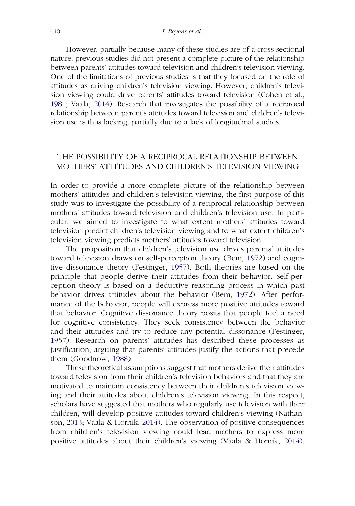However, partially because many of these studies are of a cross-sectional nature, previous studies did not present a complete picture of the relationship between parents' attitudes toward television and children's television viewing. One of the limitations of previous studies is that they focused on the role of attitudes as driving children's television viewing. However, children's television viewing could drive parents' attitudes toward television (Cohen et al., [1981](#page-24-1); Vaala, [2014](#page-27-1)). Research that investigates the possibility of a reciprocal relationship between parent's attitudes toward television and children's television use is thus lacking, partially due to a lack of longitudinal studies.

## THE POSSIBILITY OF A RECIPROCAL RELATIONSHIP BETWEEN MOTHERS' ATTITUDES AND CHILDREN'S TELEVISION VIEWING

In order to provide a more complete picture of the relationship between mothers' attitudes and children's television viewing, the first purpose of this study was to investigate the possibility of a reciprocal relationship between mothers' attitudes toward television and children's television use. In particular, we aimed to investigate to what extent mothers' attitudes toward television predict children's television viewing and to what extent children's television viewing predicts mothers' attitudes toward television.

The proposition that children's television use drives parents' attitudes toward television draws on self-perception theory (Bem, [1972\)](#page-24-3) and cognitive dissonance theory (Festinger, [1957](#page-25-1)). Both theories are based on the principle that people derive their attitudes from their behavior. Self-perception theory is based on a deductive reasoning process in which past behavior drives attitudes about the behavior (Bem, [1972](#page-24-3)). After performance of the behavior, people will express more positive attitudes toward that behavior. Cognitive dissonance theory posits that people feel a need for cognitive consistency: They seek consistency between the behavior and their attitudes and try to reduce any potential dissonance (Festinger, [1957](#page-25-1)). Research on parents' attitudes has described these processes as justification, arguing that parents' attitudes justify the actions that precede them (Goodnow, [1988\)](#page-25-2).

These theoretical assumptions suggest that mothers derive their attitudes toward television from their children's television behaviors and that they are motivated to maintain consistency between their children's television viewing and their attitudes about children's television viewing. In this respect, scholars have suggested that mothers who regularly use television with their children, will develop positive attitudes toward children's viewing (Nathanson, [2013;](#page-26-1) Vaala & Hornik, [2014\)](#page-27-0). The observation of positive consequences from children's television viewing could lead mothers to express more positive attitudes about their children's viewing (Vaala & Hornik, [2014\)](#page-27-0).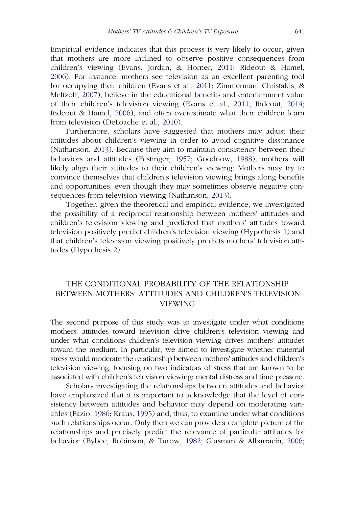Empirical evidence indicates that this process is very likely to occur, given that mothers are more inclined to observe positive consequences from children's viewing (Evans, Jordan, & Horner, [2011;](#page-25-3) Rideout & Hamel, [2006\)](#page-27-2). For instance, mothers see television as an excellent parenting tool for occupying their children (Evans et al., [2011](#page-25-3); Zimmerman, Christakis, & Meltzoff, [2007](#page-28-3)), believe in the educational benefits and entertainment value of their children's television viewing (Evans et al., [2011;](#page-25-3) Rideout, [2014;](#page-27-3) Rideout & Hamel, [2006](#page-27-2)), and often overestimate what their children learn from television (DeLoache et al., [2010](#page-25-4)).

Furthermore, scholars have suggested that mothers may adjust their attitudes about children's viewing in order to avoid cognitive dissonance (Nathanson, [2013](#page-26-1)). Because they aim to maintain consistency between their behaviors and attitudes (Festinger, [1957;](#page-25-1) Goodnow, [1988](#page-25-2)), mothers will likely align their attitudes to their children's viewing: Mothers may try to convince themselves that children's television viewing brings along benefits and opportunities, even though they may sometimes observe negative consequences from television viewing (Nathanson, [2013](#page-26-1)).

Together, given the theoretical and empirical evidence, we investigated the possibility of a reciprocal relationship between mothers' attitudes and children's television viewing and predicted that mothers' attitudes toward television positively predict children's television viewing (Hypothesis 1) and that children's television viewing positively predicts mothers' television attitudes (Hypothesis 2).

## THE CONDITIONAL PROBABILITY OF THE RELATIONSHIP BETWEEN MOTHERS' ATTITUDES AND CHILDREN'S TELEVISION VIEWING

The second purpose of this study was to investigate under what conditions mothers' attitudes toward television drive children's television viewing and under what conditions children's television viewing drives mothers' attitudes toward the medium. In particular, we aimed to investigate whether maternal stress would moderate the relationship between mothers' attitudes and children's television viewing, focusing on two indicators of stress that are known to be associated with children's television viewing: mental distress and time pressure.

Scholars investigating the relationships between attitudes and behavior have emphasized that it is important to acknowledge that the level of consistency between attitudes and behavior may depend on moderating variables (Fazio, [1986;](#page-25-5) Kraus, [1995\)](#page-26-2) and, thus, to examine under what conditions such relationships occur. Only then we can provide a complete picture of the relationships and precisely predict the relevance of particular attitudes for behavior (Bybee, Robinson, & Turow, [1982](#page-24-4); Glasman & Albarracín, [2006;](#page-25-6)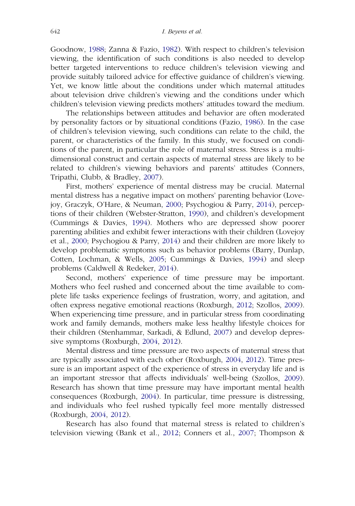Goodnow, [1988;](#page-25-2) Zanna & Fazio, [1982](#page-28-4)). With respect to children's television viewing, the identification of such conditions is also needed to develop better targeted interventions to reduce children's television viewing and provide suitably tailored advice for effective guidance of children's viewing. Yet, we know little about the conditions under which maternal attitudes about television drive children's viewing and the conditions under which children's television viewing predicts mothers' attitudes toward the medium.

The relationships between attitudes and behavior are often moderated by personality factors or by situational conditions (Fazio, [1986](#page-25-5)). In the case of children's television viewing, such conditions can relate to the child, the parent, or characteristics of the family. In this study, we focused on conditions of the parent, in particular the role of maternal stress. Stress is a multidimensional construct and certain aspects of maternal stress are likely to be related to children's viewing behaviors and parents' attitudes (Conners, Tripathi, Clubb, & Bradley, [2007\)](#page-25-7).

First, mothers' experience of mental distress may be crucial. Maternal mental distress has a negative impact on mothers' parenting behavior (Lovejoy, Graczyk, O'Hare, & Neuman, [2000](#page-26-3); Psychogiou & Parry, [2014\)](#page-26-4), perceptions of their children (Webster-Stratton, [1990](#page-28-5)), and children's development (Cummings & Davies, [1994](#page-25-8)). Mothers who are depressed show poorer parenting abilities and exhibit fewer interactions with their children (Lovejoy et al., [2000](#page-26-3); Psychogiou & Parry, [2014](#page-26-4)) and their children are more likely to develop problematic symptoms such as behavior problems (Barry, Dunlap, Cotten, Lochman, & Wells, [2005](#page-23-2); Cummings & Davies, [1994](#page-25-8)) and sleep problems (Caldwell & Redeker, [2014\)](#page-24-5).

Second, mothers' experience of time pressure may be important. Mothers who feel rushed and concerned about the time available to complete life tasks experience feelings of frustration, worry, and agitation, and often express negative emotional reactions (Roxburgh, [2012;](#page-27-4) Szollos, [2009\)](#page-27-5). When experiencing time pressure, and in particular stress from coordinating work and family demands, mothers make less healthy lifestyle choices for their children (Stenhammar, Sarkadi, & Edlund, [2007](#page-27-6)) and develop depressive symptoms (Roxburgh, [2004,](#page-27-7) [2012](#page-27-4)).

Mental distress and time pressure are two aspects of maternal stress that are typically associated with each other (Roxburgh, [2004](#page-27-7), [2012\)](#page-27-4). Time pressure is an important aspect of the experience of stress in everyday life and is an important stressor that affects individuals' well-being (Szollos, [2009\)](#page-27-5). Research has shown that time pressure may have important mental health consequences (Roxburgh, [2004\)](#page-27-7). In particular, time pressure is distressing, and individuals who feel rushed typically feel more mentally distressed (Roxburgh, [2004](#page-27-7), [2012\)](#page-27-4).

Research has also found that maternal stress is related to children's television viewing (Bank et al., [2012;](#page-23-3) Conners et al., [2007;](#page-25-7) Thompson &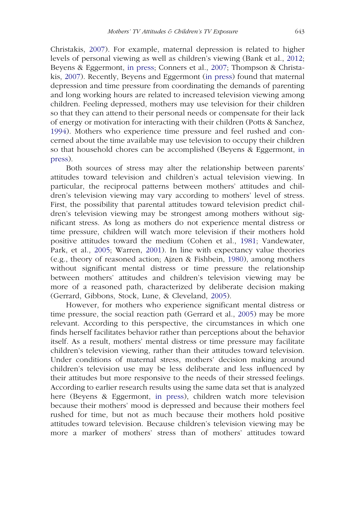Christakis, [2007\)](#page-27-8). For example, maternal depression is related to higher levels of personal viewing as well as children's viewing (Bank et al., [2012;](#page-23-3) Beyens & Eggermont, [in press;](#page-24-6) Conners et al., [2007](#page-25-7); Thompson & Christakis, [2007](#page-27-8)). Recently, Beyens and Eggermont ([in press](#page-24-6)) found that maternal depression and time pressure from coordinating the demands of parenting and long working hours are related to increased television viewing among children. Feeling depressed, mothers may use television for their children so that they can attend to their personal needs or compensate for their lack of energy or motivation for interacting with their children (Potts & Sanchez, [1994](#page-26-5)). Mothers who experience time pressure and feel rushed and concerned about the time available may use television to occupy their children so that household chores can be accomplished (Beyens & Eggermont, [in](#page-24-6) [press\)](#page-24-6).

Both sources of stress may alter the relationship between parents' attitudes toward television and children's actual television viewing. In particular, the reciprocal patterns between mothers' attitudes and children's television viewing may vary according to mothers' level of stress. First, the possibility that parental attitudes toward television predict children's television viewing may be strongest among mothers without significant stress. As long as mothers do not experience mental distress or time pressure, children will watch more television if their mothers hold positive attitudes toward the medium (Cohen et al., [1981;](#page-24-1) Vandewater, Park, et al., [2005](#page-28-0); Warren, [2001](#page-28-2)). In line with expectancy value theories (e.g., theory of reasoned action; Ajzen & Fishbein, [1980\)](#page-23-4), among mothers without significant mental distress or time pressure the relationship between mothers' attitudes and children's television viewing may be more of a reasoned path, characterized by deliberate decision making (Gerrard, Gibbons, Stock, Lune, & Cleveland, [2005\)](#page-25-9).

However, for mothers who experience significant mental distress or time pressure, the social reaction path (Gerrard et al., [2005](#page-25-9)) may be more relevant. According to this perspective, the circumstances in which one finds herself facilitates behavior rather than perceptions about the behavior itself. As a result, mothers' mental distress or time pressure may facilitate children's television viewing, rather than their attitudes toward television. Under conditions of maternal stress, mothers' decision making around children's television use may be less deliberate and less influenced by their attitudes but more responsive to the needs of their stressed feelings. According to earlier research results using the same data set that is analyzed here (Beyens & Eggermont, [in press](#page-24-6)), children watch more television because their mothers' mood is depressed and because their mothers feel rushed for time, but not as much because their mothers hold positive attitudes toward television. Because children's television viewing may be more a marker of mothers' stress than of mothers' attitudes toward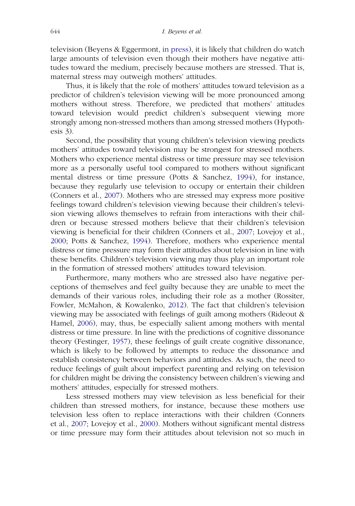television (Beyens & Eggermont, [in press\)](#page-24-6), it is likely that children do watch large amounts of television even though their mothers have negative attitudes toward the medium, precisely because mothers are stressed. That is, maternal stress may outweigh mothers' attitudes.

Thus, it is likely that the role of mothers' attitudes toward television as a predictor of children's television viewing will be more pronounced among mothers without stress. Therefore, we predicted that mothers' attitudes toward television would predict children's subsequent viewing more strongly among non-stressed mothers than among stressed mothers (Hypothesis 3).

Second, the possibility that young children's television viewing predicts mothers' attitudes toward television may be strongest for stressed mothers. Mothers who experience mental distress or time pressure may see television more as a personally useful tool compared to mothers without significant mental distress or time pressure (Potts & Sanchez, [1994](#page-26-5)), for instance, because they regularly use television to occupy or entertain their children (Conners et al., [2007\)](#page-25-7). Mothers who are stressed may express more positive feelings toward children's television viewing because their children's television viewing allows themselves to refrain from interactions with their children or because stressed mothers believe that their children's television viewing is beneficial for their children (Conners et al., [2007](#page-25-7); Lovejoy et al., [2000;](#page-26-3) Potts & Sanchez, [1994\)](#page-26-5). Therefore, mothers who experience mental distress or time pressure may form their attitudes about television in line with these benefits. Children's television viewing may thus play an important role in the formation of stressed mothers' attitudes toward television.

Furthermore, many mothers who are stressed also have negative perceptions of themselves and feel guilty because they are unable to meet the demands of their various roles, including their role as a mother (Rossiter, Fowler, McMahon, & Kowalenko, [2012\)](#page-27-9). The fact that children's television viewing may be associated with feelings of guilt among mothers (Rideout & Hamel, [2006\)](#page-27-2), may, thus, be especially salient among mothers with mental distress or time pressure. In line with the predictions of cognitive dissonance theory (Festinger, [1957](#page-25-1)), these feelings of guilt create cognitive dissonance, which is likely to be followed by attempts to reduce the dissonance and establish consistency between behaviors and attitudes. As such, the need to reduce feelings of guilt about imperfect parenting and relying on television for children might be driving the consistency between children's viewing and mothers' attitudes, especially for stressed mothers.

Less stressed mothers may view television as less beneficial for their children than stressed mothers, for instance, because these mothers use television less often to replace interactions with their children (Conners et al., [2007;](#page-25-7) Lovejoy et al., [2000](#page-26-3)). Mothers without significant mental distress or time pressure may form their attitudes about television not so much in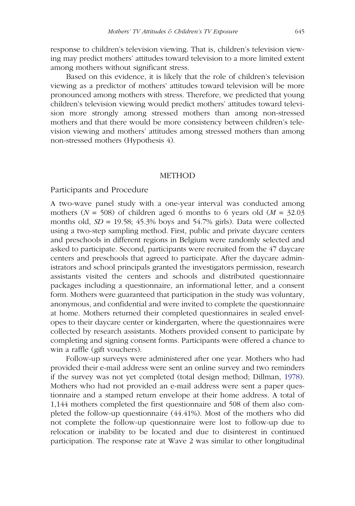response to children's television viewing. That is, children's television viewing may predict mothers' attitudes toward television to a more limited extent among mothers without significant stress.

Based on this evidence, it is likely that the role of children's television viewing as a predictor of mothers' attitudes toward television will be more pronounced among mothers with stress. Therefore, we predicted that young children's television viewing would predict mothers' attitudes toward television more strongly among stressed mothers than among non-stressed mothers and that there would be more consistency between children's television viewing and mothers' attitudes among stressed mothers than among non-stressed mothers (Hypothesis 4).

#### **METHOD**

#### Participants and Procedure

A two-wave panel study with a one-year interval was conducted among mothers ( $N = 508$ ) of children aged 6 months to 6 years old ( $M = 32.03$ ) months old,  $SD = 19.58$ ; 45.3% boys and 54.7% girls). Data were collected using a two-step sampling method. First, public and private daycare centers and preschools in different regions in Belgium were randomly selected and asked to participate. Second, participants were recruited from the 47 daycare centers and preschools that agreed to participate. After the daycare administrators and school principals granted the investigators permission, research assistants visited the centers and schools and distributed questionnaire packages including a questionnaire, an informational letter, and a consent form. Mothers were guaranteed that participation in the study was voluntary, anonymous, and confidential and were invited to complete the questionnaire at home. Mothers returned their completed questionnaires in sealed envelopes to their daycare center or kindergarten, where the questionnaires were collected by research assistants. Mothers provided consent to participate by completing and signing consent forms. Participants were offered a chance to win a raffle (gift vouchers).

Follow-up surveys were administered after one year. Mothers who had provided their e-mail address were sent an online survey and two reminders if the survey was not yet completed (total design method; Dillman, [1978\)](#page-25-10). Mothers who had not provided an e-mail address were sent a paper questionnaire and a stamped return envelope at their home address. A total of 1,144 mothers completed the first questionnaire and 508 of them also completed the follow-up questionnaire (44.41%). Most of the mothers who did not complete the follow-up questionnaire were lost to follow-up due to relocation or inability to be located and due to disinterest in continued participation. The response rate at Wave 2 was similar to other longitudinal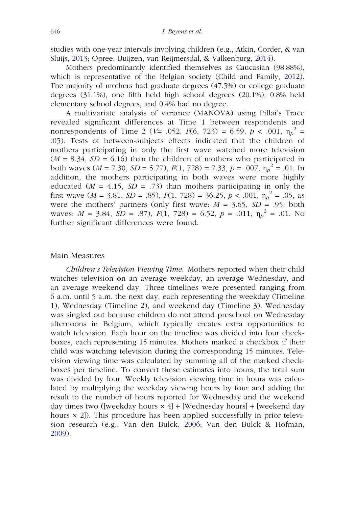studies with one-year intervals involving children (e.g., Atkin, Corder, & van Sluijs, [2013](#page-23-5); Opree, Buijzen, van Reijmersdal, & Valkenburg, [2014](#page-26-6)).

Mothers predominantly identified themselves as Caucasian (98.88%), which is representative of the Belgian society (Child and Family, [2012\)](#page-24-7). The majority of mothers had graduate degrees (47.5%) or college graduate degrees (31.1%), one fifth held high school degrees (20.1%), 0.8% held elementary school degrees, and 0.4% had no degree.

A multivariate analysis of variance (MANOVA) using Pillai's Trace revealed significant differences at Time 1 between respondents and nonrespondents of Time 2 ( $V=$  .052,  $F(6, 723) = 6.59$ ,  $p < .001$ ,  $\eta_p^2 =$ .05). Tests of between-subjects effects indicated that the children of mothers participating in only the first wave watched more television  $(M = 8.34, SD = 6.16)$  than the children of mothers who participated in both waves (*M* = 7.30, *SD* = 5.77),  $F(1, 728) = 7.33$ ,  $p = .007$ ,  $\eta_p^2 = .01$ . In addition, the mothers participating in both waves were more highly educated  $(M = 4.15, SD = .73)$  than mothers participating in only the first wave  $(M = 3.81, SD = .85)$ ,  $F(1, 728) = 36.25, p < .001, \eta_p^2 = .05$ , as were the mothers' partners (only first wave:  $M = 3.65$ ,  $SD = .95$ ; both waves:  $M = 3.84$ ,  $\overline{SD} = .87$ ),  $F(1, 728) = 6.52$ ,  $p = .011$ ,  $\eta_p^2 = .01$ . No further significant differences were found.

#### Main Measures

Children's Television Viewing Time. Mothers reported when their child watches television on an average weekday, an average Wednesday, and an average weekend day. Three timelines were presented ranging from 6 a.m. until 5 a.m. the next day, each representing the weekday (Timeline 1), Wednesday (Timeline 2), and weekend day (Timeline 3). Wednesday was singled out because children do not attend preschool on Wednesday afternoons in Belgium, which typically creates extra opportunities to watch television. Each hour on the timeline was divided into four checkboxes, each representing 15 minutes. Mothers marked a checkbox if their child was watching television during the corresponding 15 minutes. Television viewing time was calculated by summing all of the marked checkboxes per timeline. To convert these estimates into hours, the total sum was divided by four. Weekly television viewing time in hours was calculated by multiplying the weekday viewing hours by four and adding the result to the number of hours reported for Wednesday and the weekend day times two ([weekday hours  $\times$  4] + [Wednesday hours] + [weekend day hours  $\times$  2]). This procedure has been applied successfully in prior television research (e.g., Van den Bulck, [2006](#page-27-10); Van den Bulck & Hofman, [2009](#page-28-6)).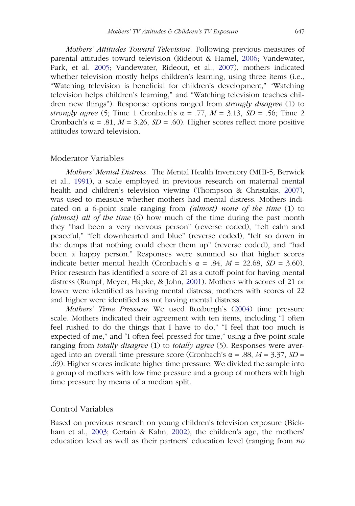Mothers' Attitudes Toward Television. Following previous measures of parental attitudes toward television (Rideout & Hamel, [2006](#page-27-2); Vandewater, Park, et al. [2005;](#page-28-0) Vandewater, Rideout, et al., [2007](#page-28-7)), mothers indicated whether television mostly helps children's learning, using three items (i.e., "Watching television is beneficial for children's development," "Watching television helps children's learning," and "Watching television teaches children new things"). Response options ranged from *strongly disagree* (1) to strongly agree (5; Time 1 Cronbach's  $\alpha = .77$ ,  $M = 3.13$ ,  $SD = .56$ ; Time 2 Cronbach's  $\alpha$  = .81,  $M$  = 3.26,  $SD$  = .60). Higher scores reflect more positive attitudes toward television.

#### Moderator Variables

Mothers' Mental Distress. The Mental Health Inventory (MHI-5; Berwick et al., [1991](#page-24-8)), a scale employed in previous research on maternal mental health and children's television viewing (Thompson & Christakis, [2007\)](#page-27-8), was used to measure whether mothers had mental distress. Mothers indicated on a 6-point scale ranging from (almost) none of the time (1) to (almost) all of the time (6) how much of the time during the past month they "had been a very nervous person" (reverse coded), "felt calm and peaceful," "felt downhearted and blue" (reverse coded), "felt so down in the dumps that nothing could cheer them up" (reverse coded), and "had been a happy person." Responses were summed so that higher scores indicate better mental health (Cronbach's  $\alpha = .84$ ,  $M = 22.68$ ,  $SD = 3.60$ ). Prior research has identified a score of 21 as a cutoff point for having mental distress (Rumpf, Meyer, Hapke, & John, [2001](#page-27-11)). Mothers with scores of 21 or lower were identified as having mental distress; mothers with scores of 22 and higher were identified as not having mental distress.

Mothers' Time Pressure. We used Roxburgh's ([2004\)](#page-27-7) time pressure scale. Mothers indicated their agreement with ten items, including "I often feel rushed to do the things that I have to do," "I feel that too much is expected of me," and "I often feel pressed for time," using a five-point scale ranging from totally disagree (1) to totally agree (5). Responses were averaged into an overall time pressure score (Cronbach's  $\alpha$  = .88, *M* = 3.37, *SD* = .69). Higher scores indicate higher time pressure. We divided the sample into a group of mothers with low time pressure and a group of mothers with high time pressure by means of a median split.

## Control Variables

Based on previous research on young children's television exposure (Bickham et al., [2003;](#page-24-9) Certain & Kahn, [2002\)](#page-24-10), the children's age, the mothers' education level as well as their partners' education level (ranging from no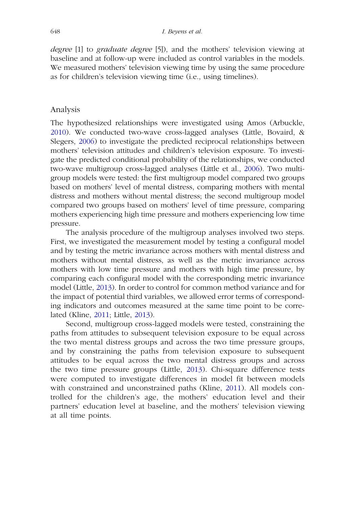degree [1] to graduate degree [5]), and the mothers' television viewing at baseline and at follow-up were included as control variables in the models. We measured mothers' television viewing time by using the same procedure as for children's television viewing time (i.e., using timelines).

#### Analysis

The hypothesized relationships were investigated using Amos (Arbuckle, [2010\)](#page-23-6). We conducted two-wave cross-lagged analyses (Little, Bovaird, & Slegers, [2006\)](#page-26-7) to investigate the predicted reciprocal relationships between mothers' television attitudes and children's television exposure. To investigate the predicted conditional probability of the relationships, we conducted two-wave multigroup cross-lagged analyses (Little et al., [2006\)](#page-26-7). Two multigroup models were tested: the first multigroup model compared two groups based on mothers' level of mental distress, comparing mothers with mental distress and mothers without mental distress; the second multigroup model compared two groups based on mothers' level of time pressure, comparing mothers experiencing high time pressure and mothers experiencing low time pressure.

The analysis procedure of the multigroup analyses involved two steps. First, we investigated the measurement model by testing a configural model and by testing the metric invariance across mothers with mental distress and mothers without mental distress, as well as the metric invariance across mothers with low time pressure and mothers with high time pressure, by comparing each configural model with the corresponding metric invariance model (Little, [2013\)](#page-26-8). In order to control for common method variance and for the impact of potential third variables, we allowed error terms of corresponding indicators and outcomes measured at the same time point to be correlated (Kline, [2011](#page-26-9); Little, [2013\)](#page-26-8).

Second, multigroup cross-lagged models were tested, constraining the paths from attitudes to subsequent television exposure to be equal across the two mental distress groups and across the two time pressure groups, and by constraining the paths from television exposure to subsequent attitudes to be equal across the two mental distress groups and across the two time pressure groups (Little, [2013](#page-26-8)). Chi-square difference tests were computed to investigate differences in model fit between models with constrained and unconstrained paths (Kline, [2011\)](#page-26-9). All models controlled for the children's age, the mothers' education level and their partners' education level at baseline, and the mothers' television viewing at all time points.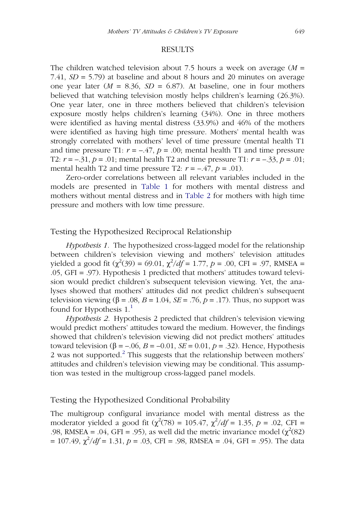#### RESULTS

The children watched television about 7.5 hours a week on average  $(M =$ 7.41,  $SD = 5.79$ ) at baseline and about 8 hours and 20 minutes on average one year later ( $M = 8.36$ ,  $SD = 6.87$ ). At baseline, one in four mothers believed that watching television mostly helps children's learning (26.3%). One year later, one in three mothers believed that children's television exposure mostly helps children's learning (34%). One in three mothers were identified as having mental distress (33.9%) and 46% of the mothers were identified as having high time pressure. Mothers' mental health was strongly correlated with mothers' level of time pressure (mental health T1 and time pressure T1:  $r = -.47$ ,  $p = .00$ ; mental health T1 and time pressure T2:  $r = -0.31$ ,  $p = 0.01$ ; mental health T2 and time pressure T1:  $r = -0.33$ ,  $p = 0.01$ ; mental health T2 and time pressure T2:  $r = -.47$ ,  $p = .01$ ).

Zero-order correlations between all relevant variables included in the models are presented in [Table 1](#page-13-0) for mothers with mental distress and mothers without mental distress and in [Table 2](#page-14-0) for mothers with high time pressure and mothers with low time pressure.

### Testing the Hypothesized Reciprocal Relationship

Hypothesis 1. The hypothesized cross-lagged model for the relationship between children's television viewing and mothers' television attitudes yielded a good fit ( $\chi^2(39) = 69.01$ ,  $\chi^2/df = 1.77$ ,  $p = .00$ , CFI = .97, RMSEA = .05, GFI = .97). Hypothesis 1 predicted that mothers' attitudes toward television would predict children's subsequent television viewing. Yet, the analyses showed that mothers' attitudes did not predict children's subsequent television viewing ( $\beta$  = .08,  $B$  = 1.04,  $SE$  = .76,  $p$  = .17). Thus, no support was found for Hypothesis  $1<sup>1</sup>$  $1<sup>1</sup>$ 

Hypothesis 2. Hypothesis 2 predicted that children's television viewing would predict mothers' attitudes toward the medium. However, the findings showed that children's television viewing did not predict mothers' attitudes toward television (β = –.06, B = –0.01, SE = 0.01, p = .32). Hence, Hypothesis [2](#page-23-8) was not supported. $<sup>2</sup>$  This suggests that the relationship between mothers'</sup> attitudes and children's television viewing may be conditional. This assumption was tested in the multigroup cross-lagged panel models.

#### Testing the Hypothesized Conditional Probability

The multigroup configural invariance model with mental distress as the moderator yielded a good fit ( $\chi^2(78) = 105.47$ ,  $\chi^2/df = 1.35$ ,  $p = .02$ , CFI = .98, RMSEA = .04, GFI = .95), as well did the metric invariance model  $(\chi^2(82))$  $= 107.49, \chi^2/df = 1.31, p = .03, CFI = .98, RMSEA = .04, GFI = .95)$ . The data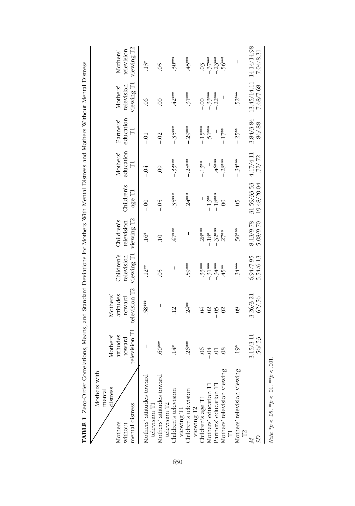<span id="page-13-0"></span>

| TABLE 1 Zero-Order Correlations, Means, and Standard Deviations for Mothers With Mental Distress and Mothers Without Mental Distress |                                                 |                                                  |                                        |                                        |                            |                            |                             |                                      |                                      |
|--------------------------------------------------------------------------------------------------------------------------------------|-------------------------------------------------|--------------------------------------------------|----------------------------------------|----------------------------------------|----------------------------|----------------------------|-----------------------------|--------------------------------------|--------------------------------------|
| Mothers with<br>distress<br>mental<br>mental distress<br>Mothers<br>without                                                          | elevision T1<br>Mothers'<br>attitudes<br>toward | television T2<br>Mothers'<br>attitudes<br>toward | viewing T1<br>Children's<br>television | viewing T2<br>Children's<br>television | Children's<br>age T1       | education<br>Mothers'<br>Ë | education<br>Partners'<br>Ë | viewing T1<br>television<br>Mothers' | viewing T2<br>television<br>Mothers' |
| Mothers' attitudes toward                                                                                                            | I                                               | .58***                                           | $.12***$                               | $16*$                                  | $-0.0$                     | $-0.4$                     | Ξi                          | 80                                   | $13*$                                |
| television T1<br>Mothers' attitudes toward                                                                                           | $60***$                                         | I                                                | $\widetilde{\mathrm{S}}$               | $\overline{10}$                        | $-0.5$                     | $\odot$                    | $-0.02$                     | $\odot$                              | $\widetilde{\mathrm{O}}$             |
| television T2<br>Children's television                                                                                               | $14*$                                           | $\overline{12}$                                  | I                                      | $47***$                                | 35***                      | $-33***$                   | - 35***                     | $42***$                              | $-30***$                             |
| viewing T1<br>Children's television                                                                                                  | $.26***$                                        | $.24**$                                          | 59***                                  | I                                      | $.24***$                   | $-28***$                   | $-29***$                    | $.31***$                             | .45***                               |
| viewing T2<br>Children's age T1                                                                                                      | $\infty$                                        | $\widetilde{\phantom{a}}$                        | $33***$                                | $.28***$                               | I                          | $-13**$                    | $-15***$                    | $-0.00$                              | $\mathcal{L}^{\circ}$                |
|                                                                                                                                      | $-0.4$                                          | $\odot$                                          | $-.31***$                              | $-18*$                                 | $-13**$                    |                            | $51***$                     | $-.33***$                            |                                      |
| Mothers' education T1<br>Partners' education T1                                                                                      |                                                 | $-05$                                            | $-.34***$                              | $-.32***$                              | $-18***$                   | $-46***$                   | $\overline{\phantom{a}}$    | $-22***$                             | $-37***$<br>-.23***                  |
| Mothers' television viewing<br>T1                                                                                                    | $\infty$                                        | $\overline{0}$                                   | 45**                                   | $.27***$                               | $\odot$                    | $-28***$                   | $-17**$                     | I                                    | $-56***$                             |
| Mothers' television viewing<br>$\Xi$                                                                                                 | $19*$                                           | $\odot$                                          | $.34***$                               | $50***$                                | $\widetilde{\mathcal{L}}$  | $-.34***$                  | $-.25**$                    | $52***$                              | $\overline{\phantom{a}}$             |
| S                                                                                                                                    | 3.15/3.11<br>56/53                              | 3.26/3.21<br>.62/0.56                            | 5.54/6.13<br>6.94/7.95                 | 8.13/9.78<br>5.08/9.70                 | 31.59/33.53<br>19.48/20.04 | 4.17/4.11<br>.72/ .72      | 3.84/3.84<br>.86 / .88      | 13.45/14.11<br>7.68/7.68             | 14.14/14.98<br>7.04/8.31             |
| <i>Note</i> . * <i>p</i> < .05. ** <i>p</i> < .01. *** <i>p</i> < .001                                                               |                                                 |                                                  |                                        |                                        |                            |                            |                             |                                      |                                      |

650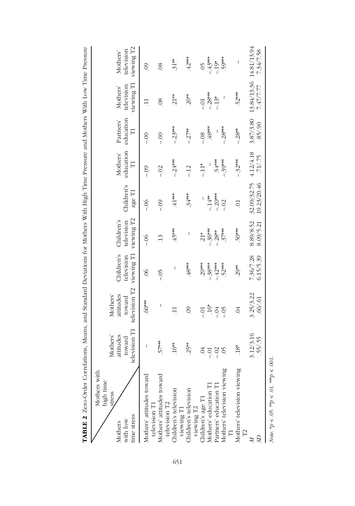<span id="page-14-0"></span>

| TABLE 2 Zero-Order Correlations, Means, and Standard Deviations for Mothers With High Time Pressure and Mothers With Low Time Pressure |                                                 |                                                  |                                        |                                        |                            |                       |                                               |                                      |                                      |
|----------------------------------------------------------------------------------------------------------------------------------------|-------------------------------------------------|--------------------------------------------------|----------------------------------------|----------------------------------------|----------------------------|-----------------------|-----------------------------------------------|--------------------------------------|--------------------------------------|
| Mothers with<br>high time<br>stress<br>time stress<br>with low<br>Mothers                                                              | elevision T1<br>Mothers'<br>attitudes<br>toward | television T2<br>attitudes<br>Mothers'<br>toward | viewing T1<br>Children's<br>television | viewing T2<br>Children's<br>television | Children's<br>age T1       | education<br>Mothers' | education<br>Partners'<br>$\overline{\Gamma}$ | viewing T1<br>television<br>Mothers' | viewing T2<br>television<br>Mothers' |
| Mothers' attitudes toward                                                                                                              | I                                               | $60***$                                          | 80                                     | $-06$                                  | $-06$                      | $-0.9$                | $\frac{1}{1}$                                 | $\exists$                            | $\overline{6}$                       |
| Mothers' attitudes toward<br>television T1<br>television T2                                                                            | $57***$                                         | I                                                | $-0.5$                                 | $\cdot$ 13                             | $-0.0$                     | $-0.2$                | $rac{5}{1}$                                   | $\overline{\mathcal{S}}$             | $\overline{0}$                       |
| Children's television                                                                                                                  | $16**$                                          | $\Xi$                                            | I                                      | .45***                                 | $41***$                    | $-24***$              | $-23***$                                      | $.21**$                              | $31**$                               |
| Children's television<br>viewing T1                                                                                                    | $.25**$                                         | $\odot$                                          | $-48***$                               | I                                      | $.34***$                   | $-12$                 | $-.27***$                                     | $26**$                               | $42***$                              |
| viewing T2<br>Children's age T1<br>Mothers' education T1                                                                               | $\widetilde{\phantom{a}}$                       | $-0$                                             | $.29***$                               | $21*$                                  | I                          | $-11*$                | $-0.8$                                        | $-0.1$                               | $\widetilde{\mathrm{O}}$             |
|                                                                                                                                        | Ξ.                                              | $16*$                                            | $-.38***$                              | $-36***$                               | $-14**$                    |                       | ***8+                                         | $-28***$                             | $-43***$                             |
| Partners' education T1                                                                                                                 | $-.02$                                          | $-0.4$                                           | $-42***$                               | $-28$ **                               | $-20$                      | 54***                 | I                                             | $-13*$                               | $-19*$                               |
| Mothers' television viewing<br>$\overline{\Gamma}$                                                                                     | $\widetilde{\Theta}$                            | $-05$                                            | $52***$                                | $37***$                                | $-.02$                     | - 39***               | $-28***$                                      | I                                    | .59***                               |
| Mothers' television viewing<br>$\Gamma$                                                                                                | $18*$                                           | $\lesssim$                                       | $.29***$                               | $50***$                                | $\overline{C}$             | - 32***               | $-28$ **                                      | $.52***$                             | I                                    |
|                                                                                                                                        | 3.12/3.16<br>55/55                              | 3.25/3.22<br>.60/0.61                            | 7.36/7.28<br>6.15/5.39                 | 8.89/8.52<br>8.09/5.21                 | 19.23/20.46<br>32.09/32.75 | 4.12/4.18<br>71/75    | 3.87/3.80<br>.85/0.90                         | 13.84/13.36<br>7.47/7.77             | 14.81/13.94<br>7.34/7.58             |
|                                                                                                                                        |                                                 |                                                  |                                        |                                        |                            |                       |                                               |                                      |                                      |

Note. \* $p < 0.05$ . \*\* $p < 0.1$ . \*\* $p < 0.01$ .

Note. \* $p < .05$ . \*\* $p < .01$ . \*\*\* $p < .001$ .

651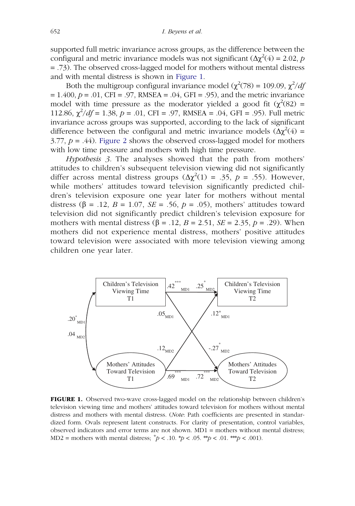supported full metric invariance across groups, as the difference between the configural and metric invariance models was not significant  $(\Delta \chi^2(4) = 2.02, p$ = .73). The observed cross-lagged model for mothers without mental distress and with mental distress is shown in [Figure 1](#page-15-0).

Both the multigroup configural invariance model ( $\chi^2(78) = 109.09$ ,  $\chi^2/df$  $= 1.400, p = .01, CFI = .97, RMSEA = .04, GFI = .95)$ , and the metric invariance model with time pressure as the moderator yielded a good fit  $(\chi^2(82) =$ 112.86,  $\chi^2/df = 1.38$ ,  $p = .01$ , CFI = .97, RMSEA = .04, GFI = .95). Full metric invariance across groups was supported, according to the lack of significant difference between the configural and metric invariance models  $(\Delta \chi^2(4) =$  $3.77, p = .44$ ). [Figure 2](#page-16-0) shows the observed cross-lagged model for mothers with low time pressure and mothers with high time pressure.

Hypothesis 3. The analyses showed that the path from mothers' attitudes to children's subsequent television viewing did not significantly differ across mental distress groups  $(\Delta \chi^2(1) = .35, p = .55)$ . However, while mothers' attitudes toward television significantly predicted children's television exposure one year later for mothers without mental distress ( $\beta$  = .12,  $B$  = 1.07,  $SE$  = .56,  $p$  = .05), mothers' attitudes toward television did not significantly predict children's television exposure for mothers with mental distress ( $\beta$  = .12,  $B$  = 2.51,  $SE$  = 2.35,  $p$  = .29). When mothers did not experience mental distress, mothers' positive attitudes toward television were associated with more television viewing among children one year later.



<span id="page-15-0"></span>FIGURE 1. Observed two-wave cross-lagged model on the relationship between children's television viewing time and mothers' attitudes toward television for mothers without mental distress and mothers with mental distress. (Note: Path coefficients are presented in standardized form. Ovals represent latent constructs. For clarity of presentation, control variables, observed indicators and error terms are not shown. MD1 = mothers without mental distress; MD2 = mothers with mental distress;  $^{\dagger}p < .10$ .  $^{\dagger}p < .05$ .  $^{\dagger}p < .01$ .  $^{\dagger}p < .001$ ).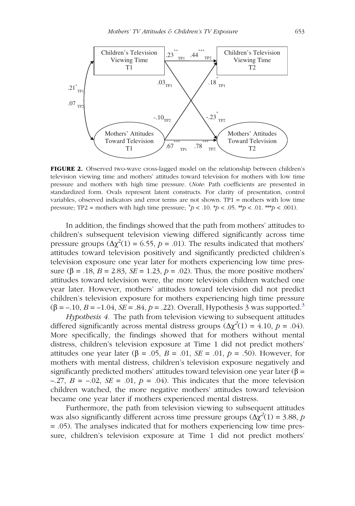

<span id="page-16-0"></span>FIGURE 2. Observed two-wave cross-lagged model on the relationship between children's television viewing time and mothers' attitudes toward television for mothers with low time pressure and mothers with high time pressure. (Note: Path coefficients are presented in standardized form. Ovals represent latent constructs. For clarity of presentation, control variables, observed indicators and error terms are not shown. TP1 = mothers with low time pressure; TP2 = mothers with high time pressure;  $^{\text{+}}p < .10.$  \*p < .05. \*\*p < .01. \*\*\*p < .001).

In addition, the findings showed that the path from mothers' attitudes to children's subsequent television viewing differed significantly across time pressure groups  $(\Delta \chi^2(1) = 6.55, p = .01)$ . The results indicated that mothers' attitudes toward television positively and significantly predicted children's television exposure one year later for mothers experiencing low time pressure ( $\beta$  = .18,  $B = 2.83$ ,  $SE = 1.23$ ,  $p = .02$ ). Thus, the more positive mothers' attitudes toward television were, the more television children watched one year later. However, mothers' attitudes toward television did not predict children's television exposure for mothers experiencing high time pressure  $(\beta = -10, B = -1.04, SE = .84, p = .22)$ . Overall, Hypothesis 3 was supported.<sup>3</sup>

Hypothesis 4. The path from television viewing to subsequent attitudes differed significantly across mental distress groups  $(\Delta \chi^2(1) = 4.10, p = .04)$ . More specifically, the findings showed that for mothers without mental distress, children's television exposure at Time 1 did not predict mothers' attitudes one year later ( $\beta = .05$ ,  $B = .01$ ,  $SE = .01$ ,  $p = .50$ ). However, for mothers with mental distress, children's television exposure negatively and significantly predicted mothers' attitudes toward television one year later ( $\beta$  =  $-.27, B = -.02, SE = .01, p = .04$ . This indicates that the more television children watched, the more negative mothers' attitudes toward television became one year later if mothers experienced mental distress.

Furthermore, the path from television viewing to subsequent attitudes was also significantly different across time pressure groups  $(\Delta \chi^2(1) = 3.88, p$ = .05). The analyses indicated that for mothers experiencing low time pressure, children's television exposure at Time 1 did not predict mothers'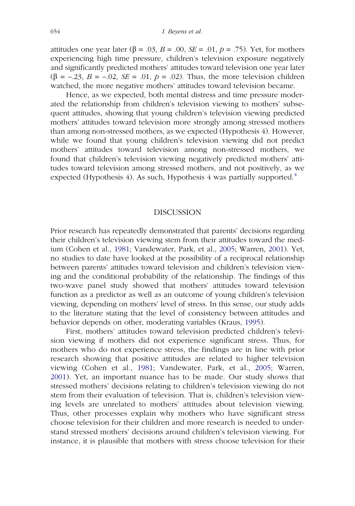attitudes one year later (β = .03, B = .00, SE = .01, p = .75). Yet, for mothers experiencing high time pressure, children's television exposure negatively and significantly predicted mothers' attitudes toward television one year later  $(\beta = -.23, B = -.02, SE = .01, p = .02)$ . Thus, the more television children watched, the more negative mothers' attitudes toward television became.

Hence, as we expected, both mental distress and time pressure moderated the relationship from children's television viewing to mothers' subsequent attitudes, showing that young children's television viewing predicted mothers' attitudes toward television more strongly among stressed mothers than among non-stressed mothers, as we expected (Hypothesis 4). However, while we found that young children's television viewing did not predict mothers' attitudes toward television among non-stressed mothers, we found that children's television viewing negatively predicted mothers' attitudes toward television among stressed mothers, and not positively, as we expected (Hypothesis [4](#page-23-10)). As such, Hypothesis 4 was partially supported.<sup>4</sup>

#### DISCUSSION

Prior research has repeatedly demonstrated that parents' decisions regarding their children's television viewing stem from their attitudes toward the medium (Cohen et al., [1981](#page-24-1); Vandewater, Park, et al., [2005](#page-28-0); Warren, [2001](#page-28-2)). Yet, no studies to date have looked at the possibility of a reciprocal relationship between parents' attitudes toward television and children's television viewing and the conditional probability of the relationship. The findings of this two-wave panel study showed that mothers' attitudes toward television function as a predictor as well as an outcome of young children's television viewing, depending on mothers' level of stress. In this sense, our study adds to the literature stating that the level of consistency between attitudes and behavior depends on other, moderating variables (Kraus, [1995\)](#page-26-2).

First, mothers' attitudes toward television predicted children's television viewing if mothers did not experience significant stress. Thus, for mothers who do not experience stress, the findings are in line with prior research showing that positive attitudes are related to higher television viewing (Cohen et al., [1981;](#page-24-1) Vandewater, Park, et al., [2005;](#page-28-0) Warren, [2001](#page-28-2)). Yet, an important nuance has to be made. Our study shows that stressed mothers' decisions relating to children's television viewing do not stem from their evaluation of television. That is, children's television viewing levels are unrelated to mothers' attitudes about television viewing. Thus, other processes explain why mothers who have significant stress choose television for their children and more research is needed to understand stressed mothers' decisions around children's television viewing. For instance, it is plausible that mothers with stress choose television for their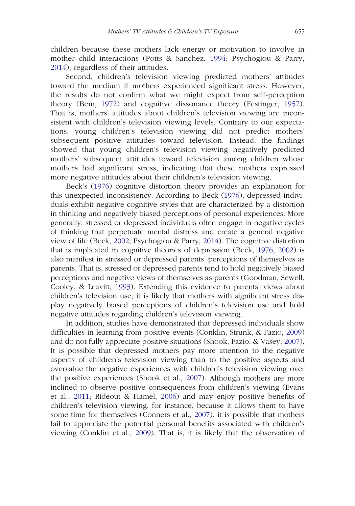children because these mothers lack energy or motivation to involve in mother–child interactions (Potts & Sanchez, [1994;](#page-26-5) Psychogiou & Parry, [2014](#page-26-4)), regardless of their attitudes.

Second, children's television viewing predicted mothers' attitudes toward the medium if mothers experienced significant stress. However, the results do not confirm what we might expect from self-perception theory (Bem, [1972\)](#page-24-3) and cognitive dissonance theory (Festinger, [1957](#page-25-1)). That is, mothers' attitudes about children's television viewing are inconsistent with children's television viewing levels. Contrary to our expectations, young children's television viewing did not predict mothers' subsequent positive attitudes toward television. Instead, the findings showed that young children's television viewing negatively predicted mothers' subsequent attitudes toward television among children whose mothers had significant stress, indicating that these mothers expressed more negative attitudes about their children's television viewing.

Beck's [\(1976](#page-23-11)) cognitive distortion theory provides an explanation for this unexpected inconsistency. According to Beck [\(1976](#page-23-11)), depressed individuals exhibit negative cognitive styles that are characterized by a distortion in thinking and negatively biased perceptions of personal experiences. More generally, stressed or depressed individuals often engage in negative cycles of thinking that perpetuate mental distress and create a general negative view of life (Beck, [2002](#page-24-11); Psychogiou & Parry, [2014](#page-26-4)). The cognitive distortion that is implicated in cognitive theories of depression (Beck, [1976,](#page-23-11) [2002\)](#page-24-11) is also manifest in stressed or depressed parents' perceptions of themselves as parents. That is, stressed or depressed parents tend to hold negatively biased perceptions and negative views of themselves as parents (Goodman, Sewell, Cooley, & Leavitt, [1993](#page-25-11)). Extending this evidence to parents' views about children's television use, it is likely that mothers with significant stress display negatively biased perceptions of children's television use and hold negative attitudes regarding children's television viewing.

In addition, studies have demonstrated that depressed individuals show difficulties in learning from positive events (Conklin, Strunk, & Fazio, [2009](#page-24-12)) and do not fully appreciate positive situations (Shook, Fazio, & Vasey, [2007\)](#page-27-12). It is possible that depressed mothers pay more attention to the negative aspects of children's television viewing than to the positive aspects and overvalue the negative experiences with children's television viewing over the positive experiences (Shook et al., [2007](#page-27-12)). Although mothers are more inclined to observe positive consequences from children's viewing (Evans et al., [2011;](#page-25-3) Rideout & Hamel, [2006](#page-27-2)) and may enjoy positive benefits of children's television viewing, for instance, because it allows them to have some time for themselves (Conners et al., [2007\)](#page-25-7), it is possible that mothers fail to appreciate the potential personal benefits associated with children's viewing (Conklin et al., [2009](#page-24-12)). That is, it is likely that the observation of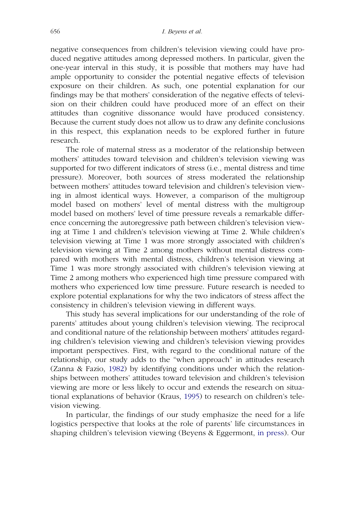negative consequences from children's television viewing could have produced negative attitudes among depressed mothers. In particular, given the one-year interval in this study, it is possible that mothers may have had ample opportunity to consider the potential negative effects of television exposure on their children. As such, one potential explanation for our findings may be that mothers' consideration of the negative effects of television on their children could have produced more of an effect on their attitudes than cognitive dissonance would have produced consistency. Because the current study does not allow us to draw any definite conclusions in this respect, this explanation needs to be explored further in future research.

The role of maternal stress as a moderator of the relationship between mothers' attitudes toward television and children's television viewing was supported for two different indicators of stress (i.e., mental distress and time pressure). Moreover, both sources of stress moderated the relationship between mothers' attitudes toward television and children's television viewing in almost identical ways. However, a comparison of the multigroup model based on mothers' level of mental distress with the multigroup model based on mothers' level of time pressure reveals a remarkable difference concerning the autoregressive path between children's television viewing at Time 1 and children's television viewing at Time 2. While children's television viewing at Time 1 was more strongly associated with children's television viewing at Time 2 among mothers without mental distress compared with mothers with mental distress, children's television viewing at Time 1 was more strongly associated with children's television viewing at Time 2 among mothers who experienced high time pressure compared with mothers who experienced low time pressure. Future research is needed to explore potential explanations for why the two indicators of stress affect the consistency in children's television viewing in different ways.

This study has several implications for our understanding of the role of parents' attitudes about young children's television viewing. The reciprocal and conditional nature of the relationship between mothers' attitudes regarding children's television viewing and children's television viewing provides important perspectives. First, with regard to the conditional nature of the relationship, our study adds to the "when approach" in attitudes research (Zanna & Fazio, [1982](#page-28-4)) by identifying conditions under which the relationships between mothers' attitudes toward television and children's television viewing are more or less likely to occur and extends the research on situational explanations of behavior (Kraus, [1995](#page-26-2)) to research on children's television viewing.

In particular, the findings of our study emphasize the need for a life logistics perspective that looks at the role of parents' life circumstances in shaping children's television viewing (Beyens & Eggermont, [in press](#page-24-6)). Our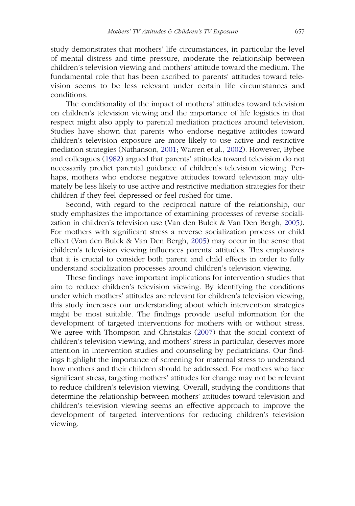study demonstrates that mothers' life circumstances, in particular the level of mental distress and time pressure, moderate the relationship between children's television viewing and mothers' attitude toward the medium. The fundamental role that has been ascribed to parents' attitudes toward television seems to be less relevant under certain life circumstances and conditions.

The conditionality of the impact of mothers' attitudes toward television on children's television viewing and the importance of life logistics in that respect might also apply to parental mediation practices around television. Studies have shown that parents who endorse negative attitudes toward children's television exposure are more likely to use active and restrictive mediation strategies (Nathanson, [2001](#page-26-0); Warren et al., [2002](#page-28-1)). However, Bybee and colleagues [\(1982](#page-24-4)) argued that parents' attitudes toward television do not necessarily predict parental guidance of children's television viewing. Perhaps, mothers who endorse negative attitudes toward television may ultimately be less likely to use active and restrictive mediation strategies for their children if they feel depressed or feel rushed for time.

Second, with regard to the reciprocal nature of the relationship, our study emphasizes the importance of examining processes of reverse socialization in children's television use (Van den Bulck & Van Den Bergh, [2005\)](#page-28-8). For mothers with significant stress a reverse socialization process or child effect (Van den Bulck & Van Den Bergh, [2005](#page-28-8)) may occur in the sense that children's television viewing influences parents' attitudes. This emphasizes that it is crucial to consider both parent and child effects in order to fully understand socialization processes around children's television viewing.

These findings have important implications for intervention studies that aim to reduce children's television viewing. By identifying the conditions under which mothers' attitudes are relevant for children's television viewing, this study increases our understanding about which intervention strategies might be most suitable. The findings provide useful information for the development of targeted interventions for mothers with or without stress. We agree with Thompson and Christakis ([2007\)](#page-27-8) that the social context of children's television viewing, and mothers' stress in particular, deserves more attention in intervention studies and counseling by pediatricians. Our findings highlight the importance of screening for maternal stress to understand how mothers and their children should be addressed. For mothers who face significant stress, targeting mothers' attitudes for change may not be relevant to reduce children's television viewing. Overall, studying the conditions that determine the relationship between mothers' attitudes toward television and children's television viewing seems an effective approach to improve the development of targeted interventions for reducing children's television viewing.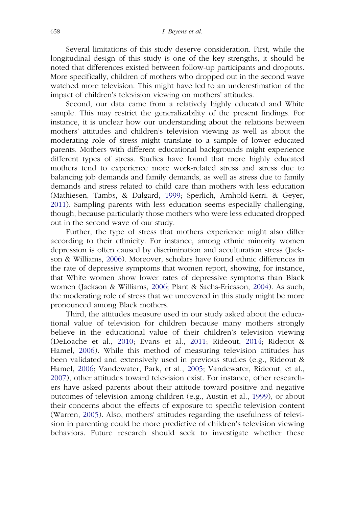Several limitations of this study deserve consideration. First, while the longitudinal design of this study is one of the key strengths, it should be noted that differences existed between follow-up participants and dropouts. More specifically, children of mothers who dropped out in the second wave watched more television. This might have led to an underestimation of the impact of children's television viewing on mothers' attitudes.

Second, our data came from a relatively highly educated and White sample. This may restrict the generalizability of the present findings. For instance, it is unclear how our understanding about the relations between mothers' attitudes and children's television viewing as well as about the moderating role of stress might translate to a sample of lower educated parents. Mothers with different educational backgrounds might experience different types of stress. Studies have found that more highly educated mothers tend to experience more work-related stress and stress due to balancing job demands and family demands, as well as stress due to family demands and stress related to child care than mothers with less education (Mathiesen, Tambs, & Dalgard, [1999](#page-26-10); Sperlich, Arnhold-Kerri, & Geyer, [2011\)](#page-27-13). Sampling parents with less education seems especially challenging, though, because particularly those mothers who were less educated dropped out in the second wave of our study.

Further, the type of stress that mothers experience might also differ according to their ethnicity. For instance, among ethnic minority women depression is often caused by discrimination and acculturation stress (Jackson & Williams, [2006\)](#page-25-12). Moreover, scholars have found ethnic differences in the rate of depressive symptoms that women report, showing, for instance, that White women show lower rates of depressive symptoms than Black women (Jackson & Williams, [2006](#page-25-12); Plant & Sachs-Ericsson, [2004](#page-26-11)). As such, the moderating role of stress that we uncovered in this study might be more pronounced among Black mothers.

Third, the attitudes measure used in our study asked about the educational value of television for children because many mothers strongly believe in the educational value of their children's television viewing (DeLoache et al., [2010](#page-25-4); Evans et al., [2011;](#page-25-3) Rideout, [2014](#page-27-3); Rideout & Hamel, [2006](#page-27-2)). While this method of measuring television attitudes has been validated and extensively used in previous studies (e.g., Rideout & Hamel, [2006;](#page-27-2) Vandewater, Park, et al., [2005](#page-28-0); Vandewater, Rideout, et al., [2007](#page-28-7)), other attitudes toward television exist. For instance, other researchers have asked parents about their attitude toward positive and negative outcomes of television among children (e.g., Austin et al., [1999](#page-23-1)), or about their concerns about the effects of exposure to specific television content (Warren, [2005](#page-28-9)). Also, mothers' attitudes regarding the usefulness of television in parenting could be more predictive of children's television viewing behaviors. Future research should seek to investigate whether these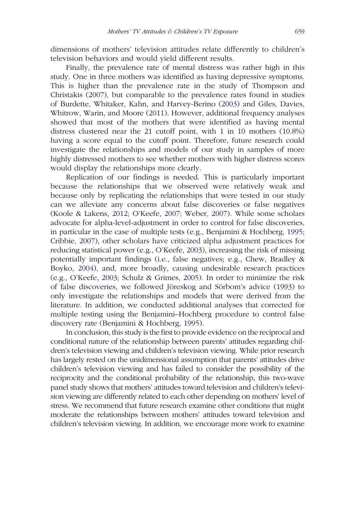dimensions of mothers' television attitudes relate differently to children's television behaviors and would yield different results.

Finally, the prevalence rate of mental distress was rather high in this study. One in three mothers was identified as having depressive symptoms. This is higher than the prevalence rate in the study of Thompson and Christakis ([2007\)](#page-27-8), but comparable to the prevalence rates found in studies of Burdette, Whitaker, Kahn, and Harvey-Berino [\(2003](#page-24-13)) and Giles, Davies, Whitrow, Warin, and Moore [\(2011](#page-25-13)). However, additional frequency analyses showed that most of the mothers that were identified as having mental distress clustered near the 21 cutoff point, with 1 in 10 mothers (10.8%) having a score equal to the cutoff point. Therefore, future research could investigate the relationships and models of our study in samples of more highly distressed mothers to see whether mothers with higher distress scores would display the relationships more clearly.

Replication of our findings is needed. This is particularly important because the relationships that we observed were relatively weak and because only by replicating the relationships that were tested in our study can we alleviate any concerns about false discoveries or false negatives (Koole & Lakens, [2012](#page-26-12); O'Keefe, [2007](#page-26-13); Weber, [2007](#page-28-10)). While some scholars advocate for alpha-level-adjustment in order to control for false discoveries, in particular in the case of multiple tests (e.g., Benjamini & Hochberg, [1995;](#page-24-14) Cribbie, [2007\)](#page-25-14), other scholars have criticized alpha adjustment practices for reducing statistical power (e.g., O'Keefe, [2003\)](#page-26-14), increasing the risk of missing potentially important findings (i.e., false negatives; e.g., Chew, Bradley & Boyko, [2004\)](#page-24-15), and, more broadly, causing undesirable research practices (e.g., O'Keefe, [2003](#page-26-14); Schulz & Grimes, [2005](#page-27-14)). In order to minimize the risk of false discoveries, we followed Jöreskog and Sörbom's advice [\(1993](#page-26-15)) to only investigate the relationships and models that were derived from the literature. In addition, we conducted additional analyses that corrected for multiple testing using the Benjamini–Hochberg procedure to control false discovery rate (Benjamini & Hochberg, [1995\)](#page-24-14).

In conclusion, this study is the first to provide evidence on the reciprocal and conditional nature of the relationship between parents' attitudes regarding children's television viewing and children's television viewing. While prior research has largely rested on the unidimensional assumption that parents' attitudes drive children's television viewing and has failed to consider the possibility of the reciprocity and the conditional probability of the relationship, this two-wave panel study shows that mothers' attitudes toward television and children's television viewing are differently related to each other depending on mothers' level of stress. We recommend that future research examine other conditions that might moderate the relationships between mothers' attitudes toward television and children's television viewing. In addition, we encourage more work to examine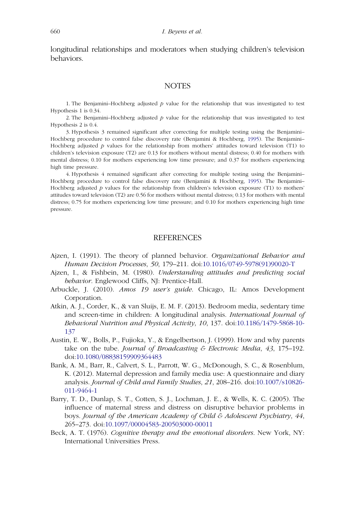longitudinal relationships and moderators when studying children's television behaviors.

#### **NOTES**

<span id="page-23-7"></span>1. The Benjamini–Hochberg adjusted  $p$  value for the relationship that was investigated to test Hypothesis 1 is 0.34.

<span id="page-23-8"></span>2. The Benjamini–Hochberg adjusted  $p$  value for the relationship that was investigated to test Hypothesis 2 is 0.4.

<span id="page-23-9"></span>3. Hypothesis 3 remained significant after correcting for multiple testing using the Benjamini– Hochberg procedure to control false discovery rate (Benjamini & Hochberg, [1995\)](#page-24-14). The Benjamini– Hochberg adjusted  $p$  values for the relationship from mothers' attitudes toward television (T1) to children's television exposure (T2) are 0.13 for mothers without mental distress; 0.40 for mothers with mental distress; 0.10 for mothers experiencing low time pressure; and 0.37 for mothers experiencing high time pressure.

<span id="page-23-10"></span>4. Hypothesis 4 remained significant after correcting for multiple testing using the Benjamini– Hochberg procedure to control false discovery rate (Benjamini & Hochberg, [1995\)](#page-24-14). The Benjamini– Hochberg adjusted  $p$  values for the relationship from children's television exposure (T1) to mothers' attitudes toward television (T2) are 0.56 for mothers without mental distress; 0.13 for mothers with mental distress; 0.75 for mothers experiencing low time pressure; and 0.10 for mothers experiencing high time pressure.

#### REFERENCES

- <span id="page-23-0"></span>Ajzen, I. (1991). The theory of planned behavior. Organizational Behavior and Human Decision Processes, 50, 179–211. doi:[10.1016/0749-5978\(91\)90020-T](http://dx.doi.org/10.1016/0749-5978(91)90020-T)
- <span id="page-23-4"></span>Ajzen, I., & Fishbein, M. (1980). Understanding attitudes and predicting social behavior. Englewood Cliffs, NJ: Prentice-Hall.
- <span id="page-23-6"></span>Arbuckle, J. (2010). Amos 19 user's guide. Chicago, IL: Amos Development Corporation.
- <span id="page-23-5"></span>Atkin, A. J., Corder, K., & van Sluijs, E. M. F. (2013). Bedroom media, sedentary time and screen-time in children: A longitudinal analysis. International Journal of Behavioral Nutrition and Physical Activity, 10, 137. doi:[10.1186/1479-5868-10-](http://dx.doi.org/10.1186/1479-5868-10-137) [137](http://dx.doi.org/10.1186/1479-5868-10-137)
- <span id="page-23-1"></span>Austin, E. W., Bolls, P., Fujioka, Y., & Engelbertson, J. (1999). How and why parents take on the tube. Journal of Broadcasting  $\mathcal E$  Electronic Media, 43, 175–192. doi:[10.1080/08838159909364483](http://dx.doi.org/10.1080/08838159909364483)
- <span id="page-23-3"></span>Bank, A. M., Barr, R., Calvert, S. L., Parrott, W. G., McDonough, S. C., & Rosenblum, K. (2012). Maternal depression and family media use: A questionnaire and diary analysis. Journal of Child and Family Studies, 21, 208–216. doi:[10.1007/s10826-](http://dx.doi.org/10.1007/s10826-011-9464-1) [011-9464-1](http://dx.doi.org/10.1007/s10826-011-9464-1)
- <span id="page-23-2"></span>Barry, T. D., Dunlap, S. T., Cotten, S. J., Lochman, J. E., & Wells, K. C. (2005). The influence of maternal stress and distress on disruptive behavior problems in boys. Journal of the American Academy of Child & Adolescent Psychiatry, 44, 265–273. doi:[10.1097/00004583-200503000-00011](http://dx.doi.org/10.1097/00004583-200503000-00011)
- <span id="page-23-11"></span>Beck, A. T. (1976). Cognitive therapy and the emotional disorders. New York, NY: International Universities Press.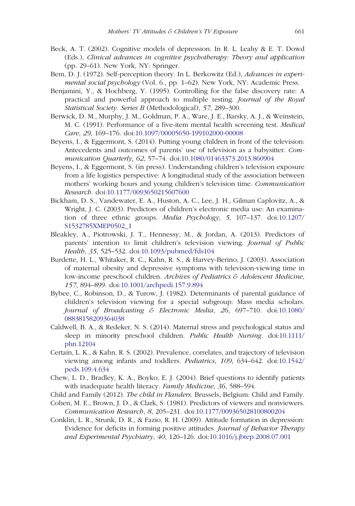- <span id="page-24-11"></span>Beck, A. T. (2002). Cognitive models of depression. In R. L. Leahy & E. T. Dowd (Eds.), Clinical advances in cognitive psychotherapy: Theory and application (pp. 29–61). New York, NY: Springer.
- <span id="page-24-3"></span>Bem, D. J. (1972). Self-perception theory. In L. Berkowitz (Ed.), Advances in experimental social psychology (Vol. 6., pp. 1–62). New York, NY: Academic Press.
- <span id="page-24-14"></span>Benjamini, Y., & Hochberg, Y. (1995). Controlling for the false discovery rate: A practical and powerful approach to multiple testing. Journal of the Royal Statistical Society. Series B (Methodological), 57, 289–300.
- <span id="page-24-8"></span>Berwick, D. M., Murphy, J. M., Goldman, P. A., Ware, J. E., Barsky, A. J., & Weinstein, M. C. (1991). Performance of a five-item mental health screening test. Medical Care, 29, 169–176. doi:[10.1097/00005650-199102000-00008](http://dx.doi.org/10.1097/00005650-199102000-00008)
- <span id="page-24-2"></span>Beyens, I., & Eggermont, S. (2014). Putting young children in front of the television: Antecedents and outcomes of parents' use of television as a babysitter. Communication Quarterly, 62, 57–74. doi:[10.1080/01463373.2013.860904](http://dx.doi.org/10.1080/01463373.2013.860904)
- <span id="page-24-6"></span>Beyens, I., & Eggermont, S. (in press). Understanding children's television exposure from a life logistics perspective: A longitudinal study of the association between mothers' working hours and young children's television time. Communication Research. doi:[10.1177/0093650215607600](http://dx.doi.org/10.1177/0093650215607600)
- <span id="page-24-9"></span>Bickham, D. S., Vandewater, E. A., Huston, A. C., Lee, J. H., Gilman Caplovitz, A., & Wright, J. C. (2003). Predictors of children's electronic media use: An examination of three ethnic groups. Media Psychology, 5, 107–137. doi:[10.1207/](http://dx.doi.org/10.1207/S1532785XMEP0502%5F1) [S1532785XMEP0502\\_1](http://dx.doi.org/10.1207/S1532785XMEP0502%5F1)
- <span id="page-24-0"></span>Bleakley, A., Piotrowski, J. T., Hennessy, M., & Jordan, A. (2013). Predictors of parents' intention to limit children's television viewing. Journal of Public Health, 35, 525–532. doi:[10.1093/pubmed/fds104](http://dx.doi.org/10.1093/pubmed/fds104)
- <span id="page-24-13"></span>Burdette, H. L., Whitaker, R. C., Kahn, R. S., & Harvey-Berino, J. (2003). Association of maternal obesity and depressive symptoms with television-viewing time in low-income preschool children. Archives of Pediatrics & Adolescent Medicine, 157, 894–899. doi:[10.1001/archpedi.157.9.894](http://dx.doi.org/10.1001/archpedi.157.9.894)
- <span id="page-24-4"></span>Bybee, C., Robinson, D., & Turow, J. (1982). Determinants of parental guidance of children's television viewing for a special subgroup: Mass media scholars. Journal of Broadcasting & Electronic Media, 26, 697–710. doi:[10.1080/](http://dx.doi.org/10.1080/08838158209364038) [08838158209364038](http://dx.doi.org/10.1080/08838158209364038)
- <span id="page-24-5"></span>Caldwell, B. A., & Redeker, N. S. (2014). Maternal stress and psychological status and sleep in minority preschool children. Public Health Nursing. doi:[10.1111/](http://dx.doi.org/10.1111/phn.12104) [phn.12104](http://dx.doi.org/10.1111/phn.12104)
- <span id="page-24-10"></span>Certain, L. K., & Kahn, R. S. (2002). Prevalence, correlates, and trajectory of television viewing among infants and toddlers. Pediatrics, 109, 634–642. doi:[10.1542/](http://dx.doi.org/10.1542/peds.109.4.634) [peds.109.4.634](http://dx.doi.org/10.1542/peds.109.4.634)
- <span id="page-24-15"></span>Chew, L. D., Bradley, K. A., Boyko, E. J. (2004). Brief questions to identify patients with inadequate health literacy. Family Medicine, 36, 588–594.
- <span id="page-24-7"></span>Child and Family (2012). The child in Flanders. Brussels, Belgium: Child and Family.
- <span id="page-24-1"></span>Cohen, M. E., Brown, J. D., & Clark, S. (1981). Predictors of viewers and nonviewers. Communication Research, 8, 205–231. doi:[10.1177/009365028100800204](http://dx.doi.org/10.1177/009365028100800204)
- <span id="page-24-12"></span>Conklin, L. R., Strunk, D. R., & Fazio, R. H. (2009). Attitude formation in depression: Evidence for deficits in forming positive attitudes. Journal of Behavior Therapy and Experimental Psychiatry, 40, 120–126. doi:[10.1016/j.jbtep.2008.07.001](http://dx.doi.org/10.1016/j.jbtep.2008.07.001)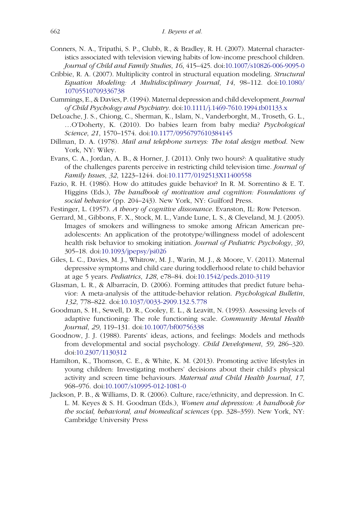- <span id="page-25-7"></span>Conners, N. A., Tripathi, S. P., Clubb, R., & Bradley, R. H. (2007). Maternal characteristics associated with television viewing habits of low-income preschool children. Journal of Child and Family Studies, 16, 415–425. doi:[10.1007/s10826-006-9095-0](http://dx.doi.org/10.1007/s10826-006-9095-0)
- <span id="page-25-14"></span>Cribbie, R. A. (2007). Multiplicity control in structural equation modeling. Structural Equation Modeling: A Multidisciplinary Journal, 14, 98–112. doi:[10.1080/](http://dx.doi.org/10.1080/10705510709336738) [10705510709336738](http://dx.doi.org/10.1080/10705510709336738)
- <span id="page-25-8"></span>Cummings, E., & Davies, P. (1994). Maternal depression and child development. Journal of Child Psychology and Psychiatry. doi:[10.1111/j.1469-7610.1994.tb01133.x](http://dx.doi.org/10.1111/j.1469-7610.1994.tb01133.x)
- <span id="page-25-4"></span>DeLoache, J. S., Chiong, C., Sherman, K., Islam, N., Vanderborght, M., Troseth, G. L., …O'Doherty, K. (2010). Do babies learn from baby media? Psychological Science, 21, 1570–1574. doi:[10.1177/0956797610384145](http://dx.doi.org/10.1177/0956797610384145)
- <span id="page-25-10"></span>Dillman, D. A. (1978). Mail and telephone surveys: The total design method. New York, NY: Wiley.
- <span id="page-25-3"></span>Evans, C. A., Jordan, A. B., & Horner, J. (2011). Only two hours?: A qualitative study of the challenges parents perceive in restricting child television time. Journal of Family Issues, 32, 1223–1244. doi:[10.1177/0192513X11400558](http://dx.doi.org/10.1177/0192513X11400558)
- <span id="page-25-5"></span>Fazio, R. H. (1986). How do attitudes guide behavior? In R. M. Sorrentino & E. T. Higgins (Eds.), The handbook of motivation and cognition: Foundations of social behavior (pp. 204–243). New York, NY: Guilford Press.
- <span id="page-25-1"></span>Festinger, L. (1957). A theory of cognitive dissonance. Evanston, IL: Row Peterson.
- <span id="page-25-9"></span>Gerrard, M., Gibbons, F. X., Stock, M. L., Vande Lune, L. S., & Cleveland, M. J. (2005). Images of smokers and willingness to smoke among African American preadolescents: An application of the prototype/willingness model of adolescent health risk behavior to smoking initiation. Journal of Pediatric Psychology, 30, 305–18. doi:[10.1093/jpepsy/jsi026](http://dx.doi.org/10.1093/jpepsy/jsi026)
- <span id="page-25-13"></span>Giles, L. C., Davies, M. J., Whitrow, M. J., Warin, M. J., & Moore, V. (2011). Maternal depressive symptoms and child care during toddlerhood relate to child behavior at age 5 years. Pediatrics, 128, e78–84. doi:[10.1542/peds.2010-3119](http://dx.doi.org/10.1542/peds.2010-3119)
- <span id="page-25-6"></span>Glasman, L. R., & Albarracín, D. (2006). Forming attitudes that predict future behavior: A meta-analysis of the attitude-behavior relation. Psychological Bulletin, 132, 778–822. doi:[10.1037/0033-2909.132.5.778](http://dx.doi.org/10.1037/0033-2909.132.5.778)
- <span id="page-25-11"></span>Goodman, S. H., Sewell, D. R., Cooley, E. L., & Leavitt, N. (1993). Assessing levels of adaptive functioning: The role functioning scale. Community Mental Health Journal, 29, 119–131. doi:[10.1007/bf00756338](http://dx.doi.org/10.1007/bf00756338)
- <span id="page-25-2"></span>Goodnow, J. J. (1988). Parents' ideas, actions, and feelings: Models and methods from developmental and social psychology. Child Development, 59, 286–320. doi:[10.2307/1130312](http://dx.doi.org/10.2307/1130312)
- <span id="page-25-0"></span>Hamilton, K., Thomson, C. E., & White, K. M. (2013). Promoting active lifestyles in young children: Investigating mothers' decisions about their child's physical activity and screen time behaviours. Maternal and Child Health Journal, 17, 968–976. doi:[10.1007/s10995-012-1081-0](http://dx.doi.org/10.1007/s10995-012-1081-0)
- <span id="page-25-12"></span>Jackson, P. B., & Williams, D. R. (2006). Culture, race/ethnicity, and depression. In C. L. M. Keyes & S. H. Goodman (Eds.), Women and depression: A handbook for the social, behavioral, and biomedical sciences (pp. 328–359). New York, NY: Cambridge University Press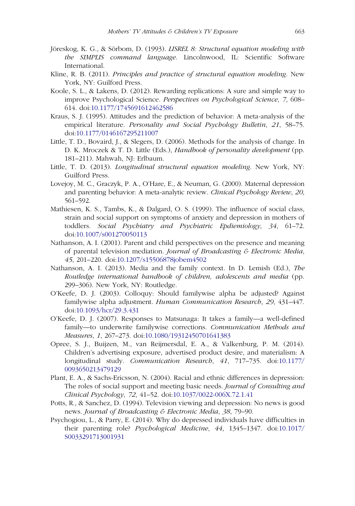- <span id="page-26-15"></span>Jöreskog, K. G., & Sörbom, D. (1993). LISREL 8: Structural equation modeling with the SIMPLIS command language. Lincolnwood, IL: Scientific Software International.
- <span id="page-26-9"></span>Kline, R. B. (2011). Principles and practice of structural equation modeling. New York, NY: Guilford Press.
- <span id="page-26-12"></span>Koole, S. L., & Lakens, D. (2012). Rewarding replications: A sure and simple way to improve Psychological Science. Perspectives on Psychological Science, 7, 608– 614. doi:[10.1177/1745691612462586](http://dx.doi.org/10.1177/1745691612462586)
- <span id="page-26-2"></span>Kraus, S. J. (1995). Attitudes and the prediction of behavior: A meta-analysis of the empirical literature. Personality and Social Psychology Bulletin, 21, 58–75. doi:[10.1177/0146167295211007](http://dx.doi.org/10.1177/0146167295211007)
- <span id="page-26-7"></span>Little, T. D., Bovaird, J., & Slegers, D. (2006). Methods for the analysis of change. In D. K. Mroczek & T. D. Little (Eds.), Handbook of personality development (pp. 181–211). Mahwah, NJ: Erlbaum.
- <span id="page-26-8"></span>Little, T. D. (2013). Longitudinal structural equation modeling. New York, NY: Guilford Press.
- <span id="page-26-3"></span>Lovejoy, M. C., Graczyk, P. A., O'Hare, E., & Neuman, G. (2000). Maternal depression and parenting behavior: A meta-analytic review. Clinical Psychology Review, 20, 561–592.
- <span id="page-26-10"></span>Mathiesen, K. S., Tambs, K., & Dalgard, O. S. (1999). The influence of social class, strain and social support on symptoms of anxiety and depression in mothers of toddlers. Social Psychiatry and Psychiatric Epdiemiology, 34, 61–72. doi:[10.1007/s001270050113](http://dx.doi.org/10.1007/s001270050113)
- <span id="page-26-0"></span>Nathanson, A. I. (2001). Parent and child perspectives on the presence and meaning of parental television mediation. Journal of Broadcasting & Electronic Media, 45, 201–220. doi:[10.1207/s15506878jobem4502](http://dx.doi.org/10.1207/s15506878jobem4502)
- <span id="page-26-1"></span>Nathanson, A. I. (2013). Media and the family context. In D. Lemish (Ed.), The Routledge international handbook of children, adolescents and media (pp. 299–306). New York, NY: Routledge.
- <span id="page-26-14"></span>O'Keefe, D. J. (2003). Colloquy: Should familywise alpha be adjusted? Against familywise alpha adjustment. Human Communication Research, 29, 431–447. doi:[10.1093/hcr/29.3.431](http://dx.doi.org/10.1093/hcr/29.3.431)
- <span id="page-26-13"></span>O'Keefe, D. J. (2007). Responses to Matsunaga: It takes a family—a well-defined family—to underwrite familywise corrections. Communication Methods and Measures, 1, 267–273. doi:[10.1080/19312450701641383](http://dx.doi.org/10.1080/19312450701641383)
- <span id="page-26-6"></span>Opree, S. J., Buijzen, M., van Reijmersdal, E. A., & Valkenburg, P. M. (2014). Children's advertising exposure, advertised product desire, and materialism: A longitudinal study. Communication Research, 41, 717–735. doi:[10.1177/](http://dx.doi.org/10.1177/0093650213479129) [0093650213479129](http://dx.doi.org/10.1177/0093650213479129)
- <span id="page-26-11"></span>Plant, E. A., & Sachs-Ericsson, N. (2004). Racial and ethnic differences in depression: The roles of social support and meeting basic needs. Journal of Consulting and Clinical Psychology, 72, 41–52. doi:[10.1037/0022-006X.72.1.41](http://dx.doi.org/10.1037/0022-006X.72.1.41)
- <span id="page-26-5"></span>Potts, R., & Sanchez, D. (1994). Television viewing and depression: No news is good news. Journal of Broadcasting & Electronic Media, 38, 79–90.
- <span id="page-26-4"></span>Psychogiou, L., & Parry, E. (2014). Why do depressed individuals have difficulties in their parenting role? Psychological Medicine, 44, 1345–1347. doi:[10.1017/](http://dx.doi.org/10.1017/S0033291713001931) [S0033291713001931](http://dx.doi.org/10.1017/S0033291713001931)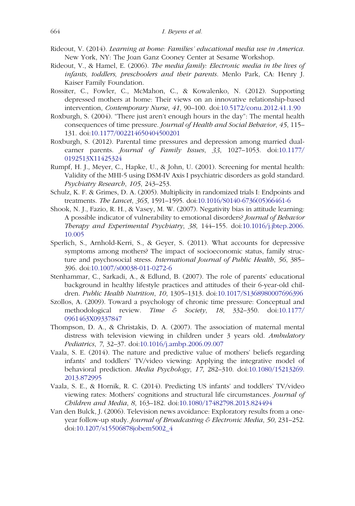- <span id="page-27-3"></span>Rideout, V. (2014). Learning at home: Families' educational media use in America. New York, NY: The Joan Ganz Cooney Center at Sesame Workshop.
- <span id="page-27-2"></span>Rideout, V., & Hamel, E. (2006). The media family: Electronic media in the lives of infants, toddlers, preschoolers and their parents. Menlo Park, CA: Henry J. Kaiser Family Foundation.
- <span id="page-27-9"></span>Rossiter, C., Fowler, C., McMahon, C., & Kowalenko, N. (2012). Supporting depressed mothers at home: Their views on an innovative relationship-based intervention, Contemporary Nurse, 41, 90–100. doi:[10.5172/conu.2012.41.1.90](http://dx.doi.org/10.5172/conu.2012.41.1.90)
- <span id="page-27-7"></span>Roxburgh, S. (2004). "There just aren't enough hours in the day": The mental health consequences of time pressure. Journal of Health and Social Behavior, 45, 115– 131. doi:[10.1177/002214650404500201](http://dx.doi.org/10.1177/002214650404500201)
- <span id="page-27-4"></span>Roxburgh, S. (2012). Parental time pressures and depression among married dualearner parents. Journal of Family Issues, 33, 1027–1053. doi:[10.1177/](http://dx.doi.org/10.1177/0192513X11425324) [0192513X11425324](http://dx.doi.org/10.1177/0192513X11425324)
- <span id="page-27-11"></span>Rumpf, H. J., Meyer, C., Hapke, U., & John, U. (2001). Screening for mental health: Validity of the MHI-5 using DSM-IV Axis I psychiatric disorders as gold standard. Psychiatry Research, 105, 243–253.
- <span id="page-27-14"></span>Schulz, K. F. & Grimes, D. A. (2005). Multiplicity in randomized trials I: Endpoints and treatments. The Lancet, 365, 1591–1595. doi:[10.1016/S0140-6736\(05\)66461-6](http://dx.doi.org/10.1016/S0140-6736(05)66461-6)
- <span id="page-27-12"></span>Shook, N. J., Fazio, R. H., & Vasey, M. W. (2007). Negativity bias in attitude learning: A possible indicator of vulnerability to emotional disorders? Journal of Behavior Therapy and Experimental Psychiatry, 38, 144–155. doi:[10.1016/j.jbtep.2006.](http://dx.doi.org/10.1016/j.jbtep.2006.10.005) [10.005](http://dx.doi.org/10.1016/j.jbtep.2006.10.005)
- <span id="page-27-13"></span>Sperlich, S., Arnhold-Kerri, S., & Geyer, S. (2011). What accounts for depressive symptoms among mothers? The impact of socioeconomic status, family structure and psychosocial stress. International Journal of Public Health, 56, 385– 396. doi:[10.1007/s00038-011-0272-6](http://dx.doi.org/10.1007/s00038-011-0272-6)
- <span id="page-27-6"></span>Stenhammar, C., Sarkadi, A., & Edlund, B. (2007). The role of parents' educational background in healthy lifestyle practices and attitudes of their 6-year-old children. Public Health Nutrition, 10, 1305–1313. doi:[10.1017/S1368980007696396](http://dx.doi.org/10.1017/S1368980007696396)
- <span id="page-27-5"></span>Szollos, A. (2009). Toward a psychology of chronic time pressure: Conceptual and methodological review. Time & Society, 18, 332–350. doi:[10.1177/](http://dx.doi.org/10.1177/0961463X09337847) [0961463X09337847](http://dx.doi.org/10.1177/0961463X09337847)
- <span id="page-27-8"></span>Thompson, D. A., & Christakis, D. A. (2007). The association of maternal mental distress with television viewing in children under 3 years old. Ambulatory Pediatrics, 7, 32–37. doi:[10.1016/j.ambp.2006.09.007](http://dx.doi.org/10.1016/j.ambp.2006.09.007)
- <span id="page-27-1"></span>Vaala, S. E. (2014). The nature and predictive value of mothers' beliefs regarding infants' and toddlers' TV/video viewing: Applying the integrative model of behavioral prediction. Media Psychology, 17, 282–310. doi:[10.1080/15213269.](http://dx.doi.org/10.1080/15213269.2013.872995) [2013.872995](http://dx.doi.org/10.1080/15213269.2013.872995)
- <span id="page-27-0"></span>Vaala, S. E., & Hornik, R. C. (2014). Predicting US infants' and toddlers' TV/video viewing rates: Mothers' cognitions and structural life circumstances. Journal of Children and Media, 8, 163–182. doi:[10.1080/17482798.2013.824494](http://dx.doi.org/10.1080/17482798.2013.824494)
- <span id="page-27-10"></span>Van den Bulck, J. (2006). Television news avoidance: Exploratory results from a oneyear follow-up study. Journal of Broadcasting & Electronic Media, 50, 231–252. doi:[10.1207/s15506878jobem5002\\_4](http://dx.doi.org/10.1207/s15506878jobem5002%5F4)